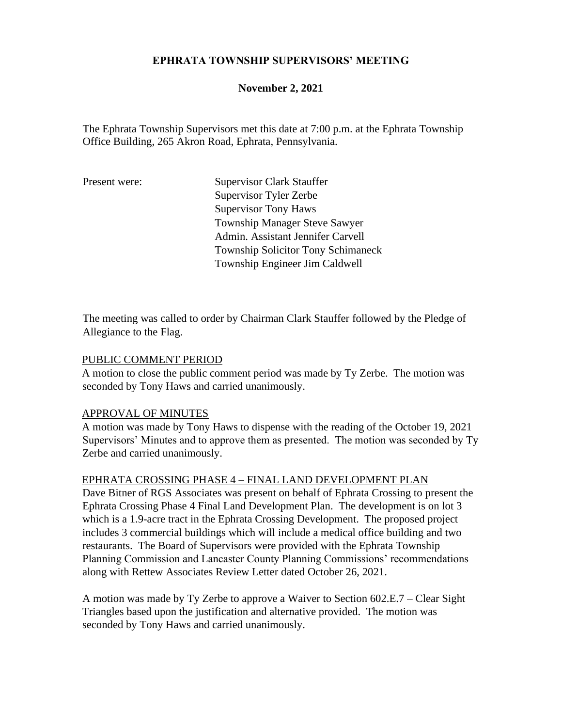### **EPHRATA TOWNSHIP SUPERVISORS' MEETING**

### **November 2, 2021**

The Ephrata Township Supervisors met this date at 7:00 p.m. at the Ephrata Township Office Building, 265 Akron Road, Ephrata, Pennsylvania.

Present were: Supervisor Clark Stauffer Supervisor Tyler Zerbe Supervisor Tony Haws Township Manager Steve Sawyer Admin. Assistant Jennifer Carvell Township Solicitor Tony Schimaneck Township Engineer Jim Caldwell

The meeting was called to order by Chairman Clark Stauffer followed by the Pledge of Allegiance to the Flag.

#### PUBLIC COMMENT PERIOD

A motion to close the public comment period was made by Ty Zerbe. The motion was seconded by Tony Haws and carried unanimously.

#### APPROVAL OF MINUTES

A motion was made by Tony Haws to dispense with the reading of the October 19, 2021 Supervisors' Minutes and to approve them as presented. The motion was seconded by Ty Zerbe and carried unanimously.

### EPHRATA CROSSING PHASE 4 – FINAL LAND DEVELOPMENT PLAN

Dave Bitner of RGS Associates was present on behalf of Ephrata Crossing to present the Ephrata Crossing Phase 4 Final Land Development Plan. The development is on lot 3 which is a 1.9-acre tract in the Ephrata Crossing Development. The proposed project includes 3 commercial buildings which will include a medical office building and two restaurants. The Board of Supervisors were provided with the Ephrata Township Planning Commission and Lancaster County Planning Commissions' recommendations along with Rettew Associates Review Letter dated October 26, 2021.

A motion was made by Ty Zerbe to approve a Waiver to Section 602.E.7 – Clear Sight Triangles based upon the justification and alternative provided. The motion was seconded by Tony Haws and carried unanimously.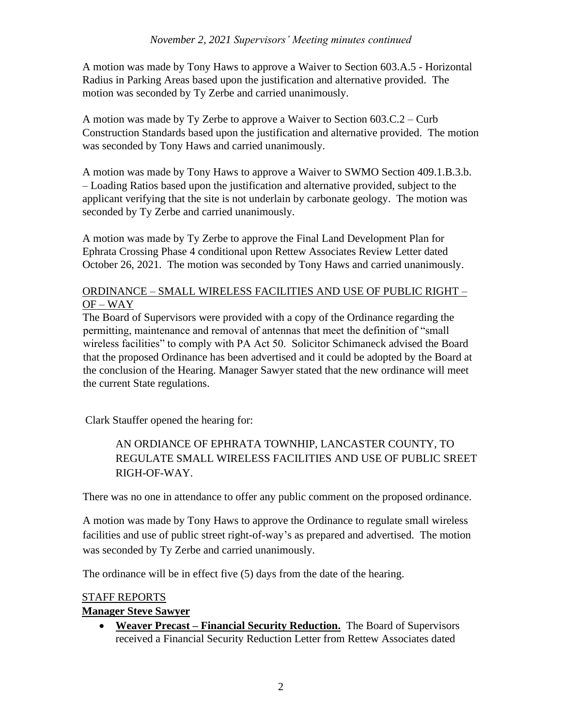A motion was made by Tony Haws to approve a Waiver to Section 603.A.5 - Horizontal Radius in Parking Areas based upon the justification and alternative provided. The motion was seconded by Ty Zerbe and carried unanimously.

A motion was made by Ty Zerbe to approve a Waiver to Section 603.C.2 – Curb Construction Standards based upon the justification and alternative provided. The motion was seconded by Tony Haws and carried unanimously.

A motion was made by Tony Haws to approve a Waiver to SWMO Section 409.1.B.3.b. – Loading Ratios based upon the justification and alternative provided, subject to the applicant verifying that the site is not underlain by carbonate geology. The motion was seconded by Ty Zerbe and carried unanimously.

A motion was made by Ty Zerbe to approve the Final Land Development Plan for Ephrata Crossing Phase 4 conditional upon Rettew Associates Review Letter dated October 26, 2021. The motion was seconded by Tony Haws and carried unanimously.

## ORDINANCE – SMALL WIRELESS FACILITIES AND USE OF PUBLIC RIGHT – OF – WAY

The Board of Supervisors were provided with a copy of the Ordinance regarding the permitting, maintenance and removal of antennas that meet the definition of "small wireless facilities" to comply with PA Act 50. Solicitor Schimaneck advised the Board that the proposed Ordinance has been advertised and it could be adopted by the Board at the conclusion of the Hearing. Manager Sawyer stated that the new ordinance will meet the current State regulations.

Clark Stauffer opened the hearing for:

# AN ORDIANCE OF EPHRATA TOWNHIP, LANCASTER COUNTY, TO REGULATE SMALL WIRELESS FACILITIES AND USE OF PUBLIC SREET RIGH-OF-WAY.

There was no one in attendance to offer any public comment on the proposed ordinance.

A motion was made by Tony Haws to approve the Ordinance to regulate small wireless facilities and use of public street right-of-way's as prepared and advertised. The motion was seconded by Ty Zerbe and carried unanimously.

The ordinance will be in effect five (5) days from the date of the hearing.

## STAFF REPORTS

## **Manager Steve Sawyer**

• **Weaver Precast – Financial Security Reduction.** The Board of Supervisors received a Financial Security Reduction Letter from Rettew Associates dated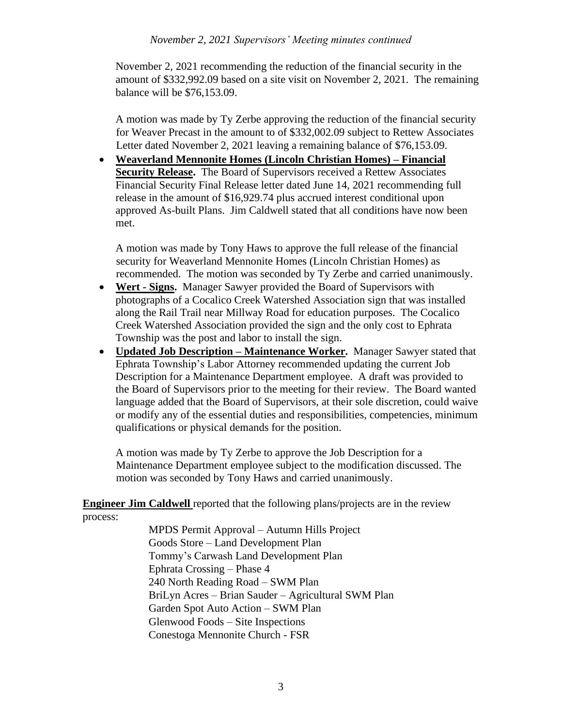### *November 2, 2021 Supervisors' Meeting minutes continued*

November 2, 2021 recommending the reduction of the financial security in the amount of \$332,992.09 based on a site visit on November 2, 2021. The remaining balance will be \$76,153.09.

A motion was made by Ty Zerbe approving the reduction of the financial security for Weaver Precast in the amount to of \$332,002.09 subject to Rettew Associates Letter dated November 2, 2021 leaving a remaining balance of \$76,153.09.

• **Weaverland Mennonite Homes (Lincoln Christian Homes) – Financial Security Release.** The Board of Supervisors received a Rettew Associates Financial Security Final Release letter dated June 14, 2021 recommending full release in the amount of \$16,929.74 plus accrued interest conditional upon approved As-built Plans. Jim Caldwell stated that all conditions have now been met.

A motion was made by Tony Haws to approve the full release of the financial security for Weaverland Mennonite Homes (Lincoln Christian Homes) as recommended. The motion was seconded by Ty Zerbe and carried unanimously.

- **Wert - Signs.** Manager Sawyer provided the Board of Supervisors with photographs of a Cocalico Creek Watershed Association sign that was installed along the Rail Trail near Millway Road for education purposes. The Cocalico Creek Watershed Association provided the sign and the only cost to Ephrata Township was the post and labor to install the sign.
- **Updated Job Description – Maintenance Worker.** Manager Sawyer stated that Ephrata Township's Labor Attorney recommended updating the current Job Description for a Maintenance Department employee. A draft was provided to the Board of Supervisors prior to the meeting for their review. The Board wanted language added that the Board of Supervisors, at their sole discretion, could waive or modify any of the essential duties and responsibilities, competencies, minimum qualifications or physical demands for the position.

A motion was made by Ty Zerbe to approve the Job Description for a Maintenance Department employee subject to the modification discussed. The motion was seconded by Tony Haws and carried unanimously.

**Engineer Jim Caldwell** reported that the following plans/projects are in the review process:

> MPDS Permit Approval – Autumn Hills Project Goods Store – Land Development Plan Tommy's Carwash Land Development Plan Ephrata Crossing – Phase 4 240 North Reading Road – SWM Plan BriLyn Acres – Brian Sauder – Agricultural SWM Plan Garden Spot Auto Action – SWM Plan Glenwood Foods – Site Inspections Conestoga Mennonite Church - FSR